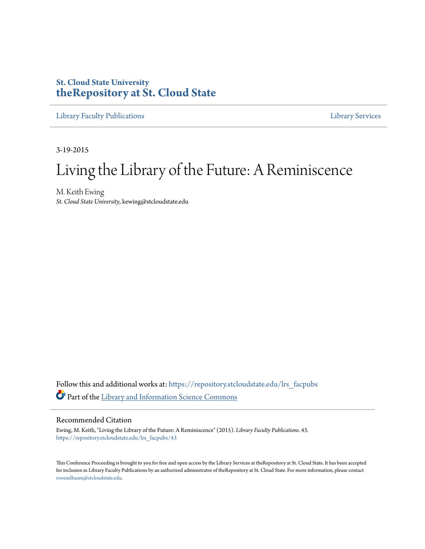## **St. Cloud State University [theRepository at St. Cloud State](https://repository.stcloudstate.edu?utm_source=repository.stcloudstate.edu%2Flrs_facpubs%2F43&utm_medium=PDF&utm_campaign=PDFCoverPages)**

[Library Faculty Publications](https://repository.stcloudstate.edu/lrs_facpubs?utm_source=repository.stcloudstate.edu%2Flrs_facpubs%2F43&utm_medium=PDF&utm_campaign=PDFCoverPages) [Library Services](https://repository.stcloudstate.edu/ls?utm_source=repository.stcloudstate.edu%2Flrs_facpubs%2F43&utm_medium=PDF&utm_campaign=PDFCoverPages)

3-19-2015

# Living the Library of the Future: A Reminiscence

M. Keith Ewing *St. Cloud State University*, kewing@stcloudstate.edu

Follow this and additional works at: [https://repository.stcloudstate.edu/lrs\\_facpubs](https://repository.stcloudstate.edu/lrs_facpubs?utm_source=repository.stcloudstate.edu%2Flrs_facpubs%2F43&utm_medium=PDF&utm_campaign=PDFCoverPages) Part of the [Library and Information Science Commons](http://network.bepress.com/hgg/discipline/1018?utm_source=repository.stcloudstate.edu%2Flrs_facpubs%2F43&utm_medium=PDF&utm_campaign=PDFCoverPages)

#### Recommended Citation

Ewing, M. Keith, "Living the Library of the Future: A Reminiscence" (2015). *Library Faculty Publications*. 43. [https://repository.stcloudstate.edu/lrs\\_facpubs/43](https://repository.stcloudstate.edu/lrs_facpubs/43?utm_source=repository.stcloudstate.edu%2Flrs_facpubs%2F43&utm_medium=PDF&utm_campaign=PDFCoverPages)

This Conference Proceeding is brought to you for free and open access by the Library Services at theRepository at St. Cloud State. It has been accepted for inclusion in Library Faculty Publications by an authorized administrator of theRepository at St. Cloud State. For more information, please contact [rswexelbaum@stcloudstate.edu](mailto:rswexelbaum@stcloudstate.edu).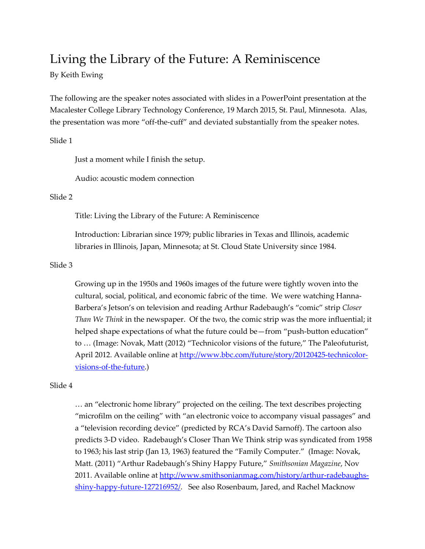## Living the Library of the Future: A Reminiscence

## By Keith Ewing

The following are the speaker notes associated with slides in a PowerPoint presentation at the Macalester College Library Technology Conference, 19 March 2015, St. Paul, Minnesota. Alas, the presentation was more "off-the-cuff" and deviated substantially from the speaker notes.

## Slide 1

Just a moment while I finish the setup.

Audio: acoustic modem connection

## Slide 2

Title: Living the Library of the Future: A Reminiscence

Introduction: Librarian since 1979; public libraries in Texas and Illinois, academic libraries in Illinois, Japan, Minnesota; at St. Cloud State University since 1984.

## Slide 3

Growing up in the 1950s and 1960s images of the future were tightly woven into the cultural, social, political, and economic fabric of the time. We were watching Hanna-Barbera's Jetson's on television and reading Arthur Radebaugh's "comic" strip Closer Than We Think in the newspaper. Of the two, the comic strip was the more influential; it helped shape expectations of what the future could be—from "push-button education" to … (Image: Novak, Matt (2012) "Technicolor visions of the future," The Paleofuturist, April 2012. Available online at http://www.bbc.com/future/story/20120425-technicolorvisions-of-the-future.)

## Slide 4

… an "electronic home library" projected on the ceiling. The text describes projecting "microfilm on the ceiling" with "an electronic voice to accompany visual passages" and a "television recording device" (predicted by RCA's David Sarnoff). The cartoon also predicts 3-D video. Radebaugh's Closer Than We Think strip was syndicated from 1958 to 1963; his last strip (Jan 13, 1963) featured the "Family Computer." (Image: Novak, Matt. (2011) "Arthur Radebaugh's Shiny Happy Future," Smithsonian Magazine, Nov 2011. Available online at http://www.smithsonianmag.com/history/arthur-radebaughsshiny-happy-future-127216952/. See also Rosenbaum, Jared, and Rachel Macknow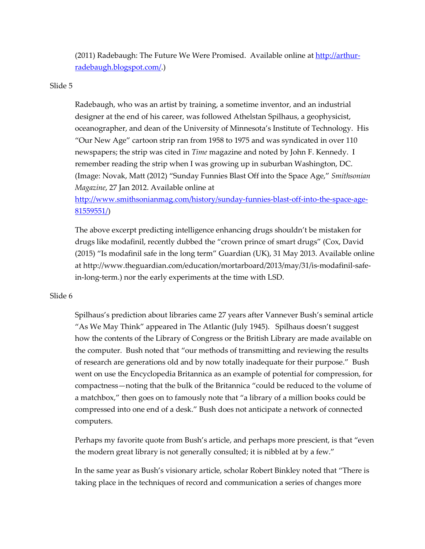(2011) Radebaugh: The Future We Were Promised. Available online at http://arthurradebaugh.blogspot.com/.)

## Slide 5

Radebaugh, who was an artist by training, a sometime inventor, and an industrial designer at the end of his career, was followed Athelstan Spilhaus, a geophysicist, oceanographer, and dean of the University of Minnesota's Institute of Technology. His "Our New Age" cartoon strip ran from 1958 to 1975 and was syndicated in over 110 newspapers; the strip was cited in Time magazine and noted by John F. Kennedy. I remember reading the strip when I was growing up in suburban Washington, DC. (Image: Novak, Matt (2012) "Sunday Funnies Blast Off into the Space Age," Smithsonian Magazine, 27 Jan 2012. Available online at

http://www.smithsonianmag.com/history/sunday-funnies-blast-off-into-the-space-age-81559551/)

The above excerpt predicting intelligence enhancing drugs shouldn't be mistaken for drugs like modafinil, recently dubbed the "crown prince of smart drugs" (Cox, David (2015) "Is modafinil safe in the long term" Guardian (UK), 31 May 2013. Available online at http://www.theguardian.com/education/mortarboard/2013/may/31/is-modafinil-safein-long-term.) nor the early experiments at the time with LSD.

## Slide 6

Spilhaus's prediction about libraries came 27 years after Vannever Bush's seminal article "As We May Think" appeared in The Atlantic (July 1945). Spilhaus doesn't suggest how the contents of the Library of Congress or the British Library are made available on the computer. Bush noted that "our methods of transmitting and reviewing the results of research are generations old and by now totally inadequate for their purpose." Bush went on use the Encyclopedia Britannica as an example of potential for compression, for compactness—noting that the bulk of the Britannica "could be reduced to the volume of a matchbox," then goes on to famously note that "a library of a million books could be compressed into one end of a desk." Bush does not anticipate a network of connected computers.

Perhaps my favorite quote from Bush's article, and perhaps more prescient, is that "even the modern great library is not generally consulted; it is nibbled at by a few."

In the same year as Bush's visionary article, scholar Robert Binkley noted that "There is taking place in the techniques of record and communication a series of changes more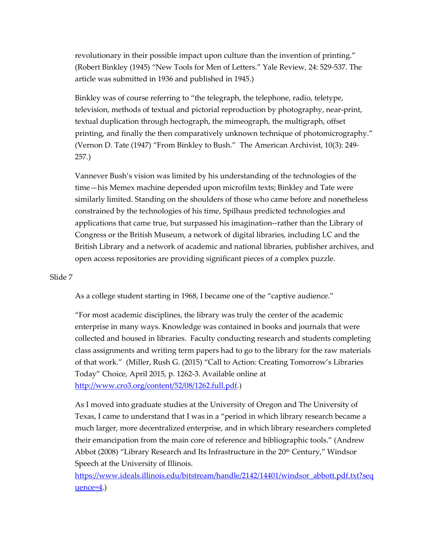revolutionary in their possible impact upon culture than the invention of printing." (Robert Binkley (1945) "New Tools for Men of Letters." Yale Review, 24: 529-537. The article was submitted in 1936 and published in 1945.)

Binkley was of course referring to "the telegraph, the telephone, radio, teletype, television, methods of textual and pictorial reproduction by photography, near-print, textual duplication through hectograph, the mimeograph, the multigraph, offset printing, and finally the then comparatively unknown technique of photomicrography." (Vernon D. Tate (1947) "From Binkley to Bush." The American Archivist, 10(3): 249- 257.)

Vannever Bush's vision was limited by his understanding of the technologies of the time—his Memex machine depended upon microfilm texts; Binkley and Tate were similarly limited. Standing on the shoulders of those who came before and nonetheless constrained by the technologies of his time, Spilhaus predicted technologies and applications that came true, but surpassed his imagination--rather than the Library of Congress or the British Museum, a network of digital libraries, including LC and the British Library and a network of academic and national libraries, publisher archives, and open access repositories are providing significant pieces of a complex puzzle.

#### Slide 7

As a college student starting in 1968, I became one of the "captive audience."

"For most academic disciplines, the library was truly the center of the academic enterprise in many ways. Knowledge was contained in books and journals that were collected and housed in libraries. Faculty conducting research and students completing class assignments and writing term papers had to go to the library for the raw materials of that work." (Miller, Rush G. (2015) "Call to Action: Creating Tomorrow's Libraries Today" Choice, April 2015, p. 1262-3. Available online at http://www.cro3.org/content/52/08/1262.full.pdf.)

As I moved into graduate studies at the University of Oregon and The University of Texas, I came to understand that I was in a "period in which library research became a much larger, more decentralized enterprise, and in which library researchers completed their emancipation from the main core of reference and bibliographic tools." (Andrew Abbot (2008) "Library Research and Its Infrastructure in the  $20<sup>th</sup>$  Century," Windsor Speech at the University of Illinois.

https://www.ideals.illinois.edu/bitstream/handle/2142/14401/windsor\_abbott.pdf.txt?seq  $u$ ence= $4$ .)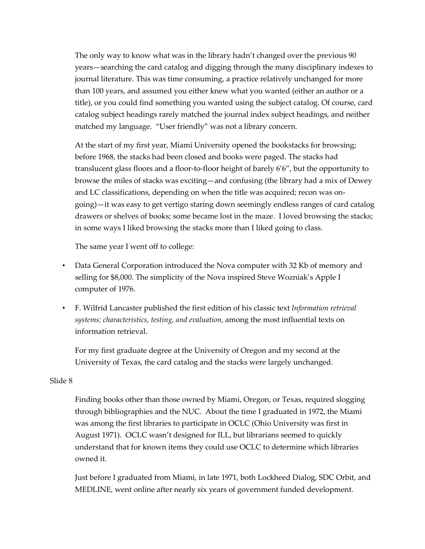The only way to know what was in the library hadn't changed over the previous 90 years—searching the card catalog and digging through the many disciplinary indexes to journal literature. This was time consuming, a practice relatively unchanged for more than 100 years, and assumed you either knew what you wanted (either an author or a title), or you could find something you wanted using the subject catalog. Of course, card catalog subject headings rarely matched the journal index subject headings, and neither matched my language. "User friendly" was not a library concern.

At the start of my first year, Miami University opened the bookstacks for browsing; before 1968, the stacks had been closed and books were paged. The stacks had translucent glass floors and a floor-to-floor height of barely 6'6", but the opportunity to browse the miles of stacks was exciting—and confusing (the library had a mix of Dewey and LC classifications, depending on when the title was acquired; recon was ongoing)—it was easy to get vertigo staring down seemingly endless ranges of card catalog drawers or shelves of books; some became lost in the maze. I loved browsing the stacks; in some ways I liked browsing the stacks more than I liked going to class.

The same year I went off to college:

- Data General Corporation introduced the Nova computer with 32 Kb of memory and selling for \$8,000. The simplicity of the Nova inspired Steve Wozniak's Apple I computer of 1976.
- F. Wilfrid Lancaster published the first edition of his classic text Information retrieval systems; characteristics, testing, and evaluation, among the most influential texts on information retrieval.

For my first graduate degree at the University of Oregon and my second at the University of Texas, the card catalog and the stacks were largely unchanged.

## Slide 8

Finding books other than those owned by Miami, Oregon, or Texas, required slogging through bibliographies and the NUC. About the time I graduated in 1972, the Miami was among the first libraries to participate in OCLC (Ohio University was first in August 1971). OCLC wasn't designed for ILL, but librarians seemed to quickly understand that for known items they could use OCLC to determine which libraries owned it.

Just before I graduated from Miami, in late 1971, both Lockheed Dialog, SDC Orbit, and MEDLINE, went online after nearly six years of government funded development.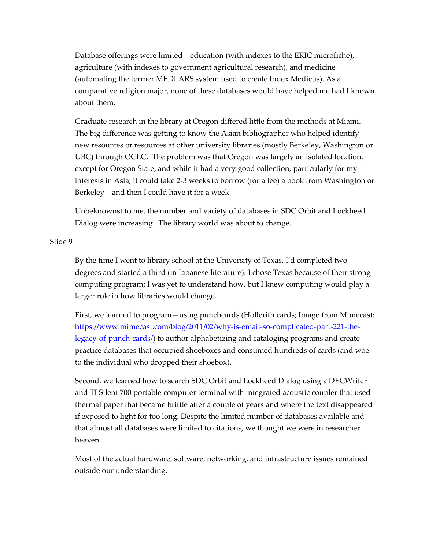Database offerings were limited—education (with indexes to the ERIC microfiche), agriculture (with indexes to government agricultural research), and medicine (automating the former MEDLARS system used to create Index Medicus). As a comparative religion major, none of these databases would have helped me had I known about them.

Graduate research in the library at Oregon differed little from the methods at Miami. The big difference was getting to know the Asian bibliographer who helped identify new resources or resources at other university libraries (mostly Berkeley, Washington or UBC) through OCLC. The problem was that Oregon was largely an isolated location, except for Oregon State, and while it had a very good collection, particularly for my interests in Asia, it could take 2-3 weeks to borrow (for a fee) a book from Washington or Berkeley—and then I could have it for a week.

Unbeknownst to me, the number and variety of databases in SDC Orbit and Lockheed Dialog were increasing. The library world was about to change.

#### Slide 9

By the time I went to library school at the University of Texas, I'd completed two degrees and started a third (in Japanese literature). I chose Texas because of their strong computing program; I was yet to understand how, but I knew computing would play a larger role in how libraries would change.

First, we learned to program—using punchcards (Hollerith cards; Image from Mimecast: https://www.mimecast.com/blog/2011/02/why-is-email-so-complicated-part-221-thelegacy-of-punch-cards/) to author alphabetizing and cataloging programs and create practice databases that occupied shoeboxes and consumed hundreds of cards (and woe to the individual who dropped their shoebox).

Second, we learned how to search SDC Orbit and Lockheed Dialog using a DECWriter and TI Silent 700 portable computer terminal with integrated acoustic coupler that used thermal paper that became brittle after a couple of years and where the text disappeared if exposed to light for too long. Despite the limited number of databases available and that almost all databases were limited to citations, we thought we were in researcher heaven.

Most of the actual hardware, software, networking, and infrastructure issues remained outside our understanding.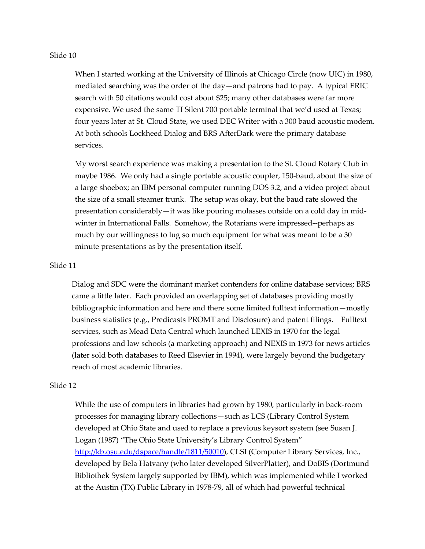#### Slide 10

When I started working at the University of Illinois at Chicago Circle (now UIC) in 1980, mediated searching was the order of the day—and patrons had to pay. A typical ERIC search with 50 citations would cost about \$25; many other databases were far more expensive. We used the same TI Silent 700 portable terminal that we'd used at Texas; four years later at St. Cloud State, we used DEC Writer with a 300 baud acoustic modem. At both schools Lockheed Dialog and BRS AfterDark were the primary database services.

My worst search experience was making a presentation to the St. Cloud Rotary Club in maybe 1986. We only had a single portable acoustic coupler, 150-baud, about the size of a large shoebox; an IBM personal computer running DOS 3.2, and a video project about the size of a small steamer trunk. The setup was okay, but the baud rate slowed the presentation considerably—it was like pouring molasses outside on a cold day in midwinter in International Falls. Somehow, the Rotarians were impressed--perhaps as much by our willingness to lug so much equipment for what was meant to be a 30 minute presentations as by the presentation itself.

#### Slide 11

Dialog and SDC were the dominant market contenders for online database services; BRS came a little later. Each provided an overlapping set of databases providing mostly bibliographic information and here and there some limited fulltext information—mostly business statistics (e.g., Predicasts PROMT and Disclosure) and patent filings. Fulltext services, such as Mead Data Central which launched LEXIS in 1970 for the legal professions and law schools (a marketing approach) and NEXIS in 1973 for news articles (later sold both databases to Reed Elsevier in 1994), were largely beyond the budgetary reach of most academic libraries.

#### Slide 12

While the use of computers in libraries had grown by 1980, particularly in back-room processes for managing library collections—such as LCS (Library Control System developed at Ohio State and used to replace a previous keysort system (see Susan J. Logan (1987) "The Ohio State University's Library Control System" http://kb.osu.edu/dspace/handle/1811/50010), CLSI (Computer Library Services, Inc., developed by Bela Hatvany (who later developed SilverPlatter), and DoBIS (Dortmund Bibliothek System largely supported by IBM), which was implemented while I worked at the Austin (TX) Public Library in 1978-79, all of which had powerful technical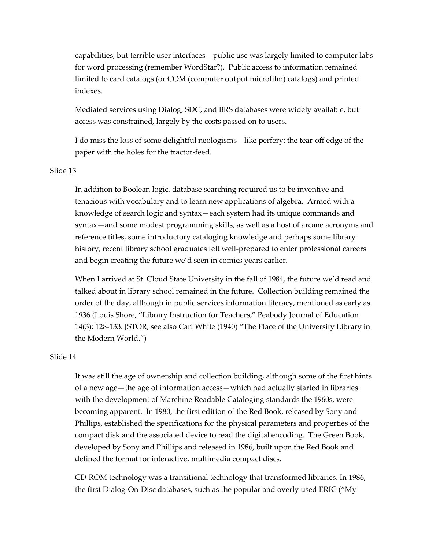capabilities, but terrible user interfaces—public use was largely limited to computer labs for word processing (remember WordStar?). Public access to information remained limited to card catalogs (or COM (computer output microfilm) catalogs) and printed indexes.

Mediated services using Dialog, SDC, and BRS databases were widely available, but access was constrained, largely by the costs passed on to users.

I do miss the loss of some delightful neologisms—like perfery: the tear-off edge of the paper with the holes for the tractor-feed.

#### Slide 13

In addition to Boolean logic, database searching required us to be inventive and tenacious with vocabulary and to learn new applications of algebra. Armed with a knowledge of search logic and syntax—each system had its unique commands and syntax—and some modest programming skills, as well as a host of arcane acronyms and reference titles, some introductory cataloging knowledge and perhaps some library history, recent library school graduates felt well-prepared to enter professional careers and begin creating the future we'd seen in comics years earlier.

When I arrived at St. Cloud State University in the fall of 1984, the future we'd read and talked about in library school remained in the future. Collection building remained the order of the day, although in public services information literacy, mentioned as early as 1936 (Louis Shore, "Library Instruction for Teachers," Peabody Journal of Education 14(3): 128-133. JSTOR; see also Carl White (1940) "The Place of the University Library in the Modern World.")

#### Slide 14

It was still the age of ownership and collection building, although some of the first hints of a new age—the age of information access—which had actually started in libraries with the development of Marchine Readable Cataloging standards the 1960s, were becoming apparent. In 1980, the first edition of the Red Book, released by Sony and Phillips, established the specifications for the physical parameters and properties of the compact disk and the associated device to read the digital encoding. The Green Book, developed by Sony and Phillips and released in 1986, built upon the Red Book and defined the format for interactive, multimedia compact discs.

CD-ROM technology was a transitional technology that transformed libraries. In 1986, the first Dialog-On-Disc databases, such as the popular and overly used ERIC ("My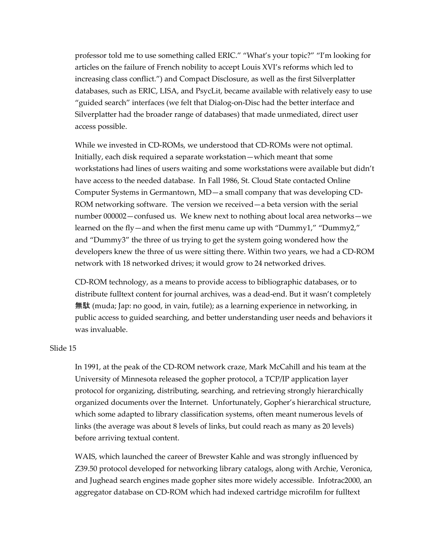professor told me to use something called ERIC." "What's your topic?" "I'm looking for articles on the failure of French nobility to accept Louis XVI's reforms which led to increasing class conflict.") and Compact Disclosure, as well as the first Silverplatter databases, such as ERIC, LISA, and PsycLit, became available with relatively easy to use "guided search" interfaces (we felt that Dialog-on-Disc had the better interface and Silverplatter had the broader range of databases) that made unmediated, direct user access possible.

While we invested in CD-ROMs, we understood that CD-ROMs were not optimal. Initially, each disk required a separate workstation—which meant that some workstations had lines of users waiting and some workstations were available but didn't have access to the needed database. In Fall 1986, St. Cloud State contacted Online Computer Systems in Germantown, MD—a small company that was developing CD-ROM networking software. The version we received—a beta version with the serial number 000002—confused us. We knew next to nothing about local area networks—we learned on the fly—and when the first menu came up with "Dummy1," "Dummy2," and "Dummy3" the three of us trying to get the system going wondered how the developers knew the three of us were sitting there. Within two years, we had a CD-ROM network with 18 networked drives; it would grow to 24 networked drives.

CD-ROM technology, as a means to provide access to bibliographic databases, or to distribute fulltext content for journal archives, was a dead-end. But it wasn't completely 無駄 (muda; Jap: no good, in vain, futile); as a learning experience in networking, in public access to guided searching, and better understanding user needs and behaviors it was invaluable.

## Slide 15

In 1991, at the peak of the CD-ROM network craze, Mark McCahill and his team at the University of Minnesota released the gopher protocol, a TCP/IP application layer protocol for organizing, distributing, searching, and retrieving strongly hierarchically organized documents over the Internet. Unfortunately, Gopher's hierarchical structure, which some adapted to library classification systems, often meant numerous levels of links (the average was about 8 levels of links, but could reach as many as 20 levels) before arriving textual content.

WAIS, which launched the career of Brewster Kahle and was strongly influenced by Z39.50 protocol developed for networking library catalogs, along with Archie, Veronica, and Jughead search engines made gopher sites more widely accessible. Infotrac2000, an aggregator database on CD-ROM which had indexed cartridge microfilm for fulltext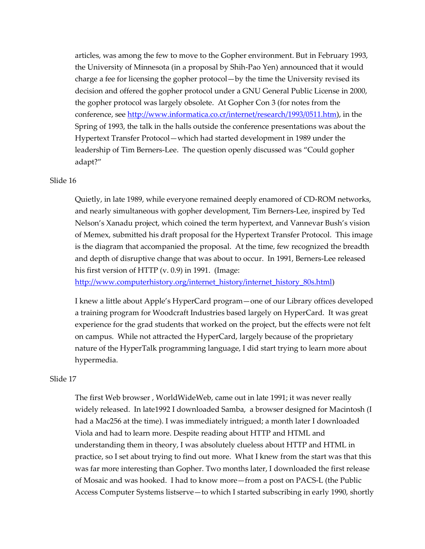articles, was among the few to move to the Gopher environment. But in February 1993, the University of Minnesota (in a proposal by Shih-Pao Yen) announced that it would charge a fee for licensing the gopher protocol—by the time the University revised its decision and offered the gopher protocol under a GNU General Public License in 2000, the gopher protocol was largely obsolete. At Gopher Con 3 (for notes from the conference, see http://www.informatica.co.cr/internet/research/1993/0511.htm), in the Spring of 1993, the talk in the halls outside the conference presentations was about the Hypertext Transfer Protocol—which had started development in 1989 under the leadership of Tim Berners-Lee. The question openly discussed was "Could gopher adapt?"

#### Slide 16

Quietly, in late 1989, while everyone remained deeply enamored of CD-ROM networks, and nearly simultaneous with gopher development, Tim Berners-Lee, inspired by Ted Nelson's Xanadu project, which coined the term hypertext, and Vannevar Bush's vision of Memex, submitted his draft proposal for the Hypertext Transfer Protocol. This image is the diagram that accompanied the proposal. At the time, few recognized the breadth and depth of disruptive change that was about to occur. In 1991, Berners-Lee released his first version of HTTP (v. 0.9) in 1991. (Image:

http://www.computerhistory.org/internet\_history/internet\_history\_80s.html)

I knew a little about Apple's HyperCard program—one of our Library offices developed a training program for Woodcraft Industries based largely on HyperCard. It was great experience for the grad students that worked on the project, but the effects were not felt on campus. While not attracted the HyperCard, largely because of the proprietary nature of the HyperTalk programming language, I did start trying to learn more about hypermedia.

#### Slide 17

The first Web browser , WorldWideWeb, came out in late 1991; it was never really widely released. In late1992 I downloaded Samba, a browser designed for Macintosh (I had a Mac256 at the time). I was immediately intrigued; a month later I downloaded Viola and had to learn more. Despite reading about HTTP and HTML and understanding them in theory, I was absolutely clueless about HTTP and HTML in practice, so I set about trying to find out more. What I knew from the start was that this was far more interesting than Gopher. Two months later, I downloaded the first release of Mosaic and was hooked. I had to know more—from a post on PACS-L (the Public Access Computer Systems listserve—to which I started subscribing in early 1990, shortly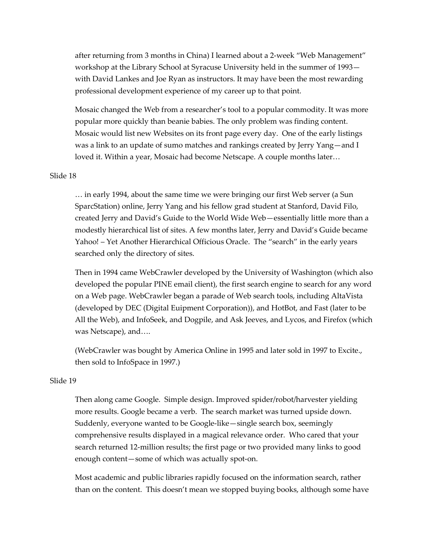after returning from 3 months in China) I learned about a 2-week "Web Management" workshop at the Library School at Syracuse University held in the summer of 1993 with David Lankes and Joe Ryan as instructors. It may have been the most rewarding professional development experience of my career up to that point.

Mosaic changed the Web from a researcher's tool to a popular commodity. It was more popular more quickly than beanie babies. The only problem was finding content. Mosaic would list new Websites on its front page every day. One of the early listings was a link to an update of sumo matches and rankings created by Jerry Yang—and I loved it. Within a year, Mosaic had become Netscape. A couple months later…

#### Slide 18

… in early 1994, about the same time we were bringing our first Web server (a Sun SparcStation) online, Jerry Yang and his fellow grad student at Stanford, David Filo, created Jerry and David's Guide to the World Wide Web—essentially little more than a modestly hierarchical list of sites. A few months later, Jerry and David's Guide became Yahoo! – Yet Another Hierarchical Officious Oracle. The "search" in the early years searched only the directory of sites.

Then in 1994 came WebCrawler developed by the University of Washington (which also developed the popular PINE email client), the first search engine to search for any word on a Web page. WebCrawler began a parade of Web search tools, including AltaVista (developed by DEC (Digital Euipment Corporation)), and HotBot, and Fast (later to be All the Web), and InfoSeek, and Dogpile, and Ask Jeeves, and Lycos, and Firefox (which was Netscape), and….

(WebCrawler was bought by America Online in 1995 and later sold in 1997 to Excite., then sold to InfoSpace in 1997.)

#### Slide 19

Then along came Google. Simple design. Improved spider/robot/harvester yielding more results. Google became a verb. The search market was turned upside down. Suddenly, everyone wanted to be Google-like—single search box, seemingly comprehensive results displayed in a magical relevance order. Who cared that your search returned 12-million results; the first page or two provided many links to good enough content—some of which was actually spot-on.

Most academic and public libraries rapidly focused on the information search, rather than on the content. This doesn't mean we stopped buying books, although some have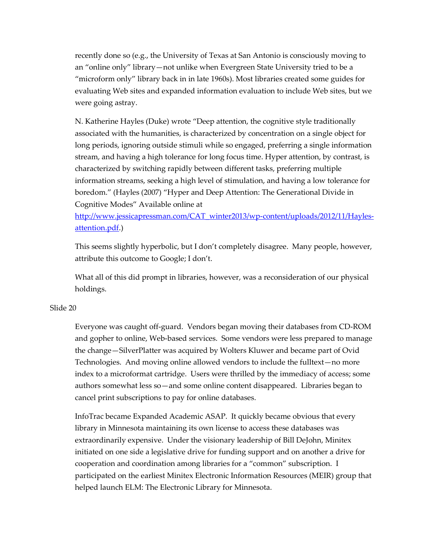recently done so (e.g., the University of Texas at San Antonio is consciously moving to an "online only" library—not unlike when Evergreen State University tried to be a "microform only" library back in in late 1960s). Most libraries created some guides for evaluating Web sites and expanded information evaluation to include Web sites, but we were going astray.

N. Katherine Hayles (Duke) wrote "Deep attention, the cognitive style traditionally associated with the humanities, is characterized by concentration on a single object for long periods, ignoring outside stimuli while so engaged, preferring a single information stream, and having a high tolerance for long focus time. Hyper attention, by contrast, is characterized by switching rapidly between different tasks, preferring multiple information streams, seeking a high level of stimulation, and having a low tolerance for boredom." (Hayles (2007) "Hyper and Deep Attention: The Generational Divide in Cognitive Modes" Available online at

http://www.jessicapressman.com/CAT\_winter2013/wp-content/uploads/2012/11/Haylesattention.pdf.)

This seems slightly hyperbolic, but I don't completely disagree. Many people, however, attribute this outcome to Google; I don't.

What all of this did prompt in libraries, however, was a reconsideration of our physical holdings.

#### Slide 20

Everyone was caught off-guard. Vendors began moving their databases from CD-ROM and gopher to online, Web-based services. Some vendors were less prepared to manage the change—SilverPlatter was acquired by Wolters Kluwer and became part of Ovid Technologies. And moving online allowed vendors to include the fulltext—no more index to a microformat cartridge. Users were thrilled by the immediacy of access; some authors somewhat less so—and some online content disappeared. Libraries began to cancel print subscriptions to pay for online databases.

InfoTrac became Expanded Academic ASAP. It quickly became obvious that every library in Minnesota maintaining its own license to access these databases was extraordinarily expensive. Under the visionary leadership of Bill DeJohn, Minitex initiated on one side a legislative drive for funding support and on another a drive for cooperation and coordination among libraries for a "common" subscription. I participated on the earliest Minitex Electronic Information Resources (MEIR) group that helped launch ELM: The Electronic Library for Minnesota.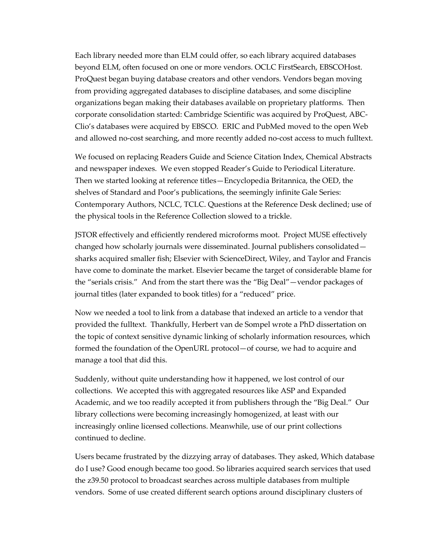Each library needed more than ELM could offer, so each library acquired databases beyond ELM, often focused on one or more vendors. OCLC FirstSearch, EBSCOHost. ProQuest began buying database creators and other vendors. Vendors began moving from providing aggregated databases to discipline databases, and some discipline organizations began making their databases available on proprietary platforms. Then corporate consolidation started: Cambridge Scientific was acquired by ProQuest, ABC-Clio's databases were acquired by EBSCO. ERIC and PubMed moved to the open Web and allowed no-cost searching, and more recently added no-cost access to much fulltext.

We focused on replacing Readers Guide and Science Citation Index, Chemical Abstracts and newspaper indexes. We even stopped Reader's Guide to Periodical Literature. Then we started looking at reference titles—Encyclopedia Britannica, the OED, the shelves of Standard and Poor's publications, the seemingly infinite Gale Series: Contemporary Authors, NCLC, TCLC. Questions at the Reference Desk declined; use of the physical tools in the Reference Collection slowed to a trickle.

JSTOR effectively and efficiently rendered microforms moot. Project MUSE effectively changed how scholarly journals were disseminated. Journal publishers consolidated sharks acquired smaller fish; Elsevier with ScienceDirect, Wiley, and Taylor and Francis have come to dominate the market. Elsevier became the target of considerable blame for the "serials crisis." And from the start there was the "Big Deal"—vendor packages of journal titles (later expanded to book titles) for a "reduced" price.

Now we needed a tool to link from a database that indexed an article to a vendor that provided the fulltext. Thankfully, Herbert van de Sompel wrote a PhD dissertation on the topic of context sensitive dynamic linking of scholarly information resources, which formed the foundation of the OpenURL protocol—of course, we had to acquire and manage a tool that did this.

Suddenly, without quite understanding how it happened, we lost control of our collections. We accepted this with aggregated resources like ASP and Expanded Academic, and we too readily accepted it from publishers through the "Big Deal." Our library collections were becoming increasingly homogenized, at least with our increasingly online licensed collections. Meanwhile, use of our print collections continued to decline.

Users became frustrated by the dizzying array of databases. They asked, Which database do I use? Good enough became too good. So libraries acquired search services that used the z39.50 protocol to broadcast searches across multiple databases from multiple vendors. Some of use created different search options around disciplinary clusters of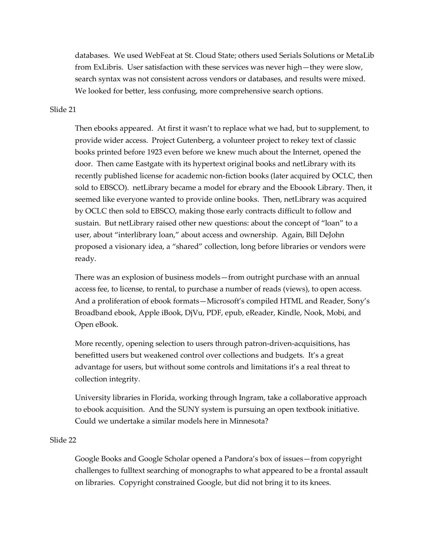databases. We used WebFeat at St. Cloud State; others used Serials Solutions or MetaLib from ExLibris. User satisfaction with these services was never high—they were slow, search syntax was not consistent across vendors or databases, and results were mixed. We looked for better, less confusing, more comprehensive search options.

#### Slide 21

Then ebooks appeared. At first it wasn't to replace what we had, but to supplement, to provide wider access. Project Gutenberg, a volunteer project to rekey text of classic books printed before 1923 even before we knew much about the Internet, opened the door. Then came Eastgate with its hypertext original books and netLibrary with its recently published license for academic non-fiction books (later acquired by OCLC, then sold to EBSCO). netLibrary became a model for ebrary and the Eboook Library. Then, it seemed like everyone wanted to provide online books. Then, netLibrary was acquired by OCLC then sold to EBSCO, making those early contracts difficult to follow and sustain. But netLibrary raised other new questions: about the concept of "loan" to a user, about "interlibrary loan," about access and ownership. Again, Bill DeJohn proposed a visionary idea, a "shared" collection, long before libraries or vendors were ready.

There was an explosion of business models—from outright purchase with an annual access fee, to license, to rental, to purchase a number of reads (views), to open access. And a proliferation of ebook formats—Microsoft's compiled HTML and Reader, Sony's Broadband ebook, Apple iBook, DjVu, PDF, epub, eReader, Kindle, Nook, Mobi, and Open eBook.

More recently, opening selection to users through patron-driven-acquisitions, has benefitted users but weakened control over collections and budgets. It's a great advantage for users, but without some controls and limitations it's a real threat to collection integrity.

University libraries in Florida, working through Ingram, take a collaborative approach to ebook acquisition. And the SUNY system is pursuing an open textbook initiative. Could we undertake a similar models here in Minnesota?

#### Slide 22

Google Books and Google Scholar opened a Pandora's box of issues—from copyright challenges to fulltext searching of monographs to what appeared to be a frontal assault on libraries. Copyright constrained Google, but did not bring it to its knees.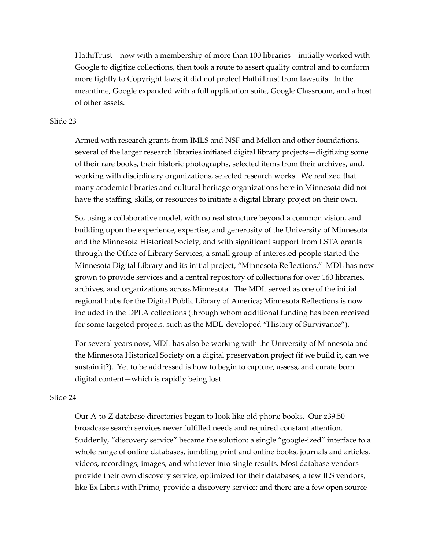HathiTrust—now with a membership of more than 100 libraries—initially worked with Google to digitize collections, then took a route to assert quality control and to conform more tightly to Copyright laws; it did not protect HathiTrust from lawsuits. In the meantime, Google expanded with a full application suite, Google Classroom, and a host of other assets.

#### Slide 23

Armed with research grants from IMLS and NSF and Mellon and other foundations, several of the larger research libraries initiated digital library projects—digitizing some of their rare books, their historic photographs, selected items from their archives, and, working with disciplinary organizations, selected research works. We realized that many academic libraries and cultural heritage organizations here in Minnesota did not have the staffing, skills, or resources to initiate a digital library project on their own.

So, using a collaborative model, with no real structure beyond a common vision, and building upon the experience, expertise, and generosity of the University of Minnesota and the Minnesota Historical Society, and with significant support from LSTA grants through the Office of Library Services, a small group of interested people started the Minnesota Digital Library and its initial project, "Minnesota Reflections." MDL has now grown to provide services and a central repository of collections for over 160 libraries, archives, and organizations across Minnesota. The MDL served as one of the initial regional hubs for the Digital Public Library of America; Minnesota Reflections is now included in the DPLA collections (through whom additional funding has been received for some targeted projects, such as the MDL-developed "History of Survivance").

For several years now, MDL has also be working with the University of Minnesota and the Minnesota Historical Society on a digital preservation project (if we build it, can we sustain it?). Yet to be addressed is how to begin to capture, assess, and curate born digital content—which is rapidly being lost.

#### Slide 24

Our A-to-Z database directories began to look like old phone books. Our z39.50 broadcase search services never fulfilled needs and required constant attention. Suddenly, "discovery service" became the solution: a single "google-ized" interface to a whole range of online databases, jumbling print and online books, journals and articles, videos, recordings, images, and whatever into single results. Most database vendors provide their own discovery service, optimized for their databases; a few ILS vendors, like Ex Libris with Primo, provide a discovery service; and there are a few open source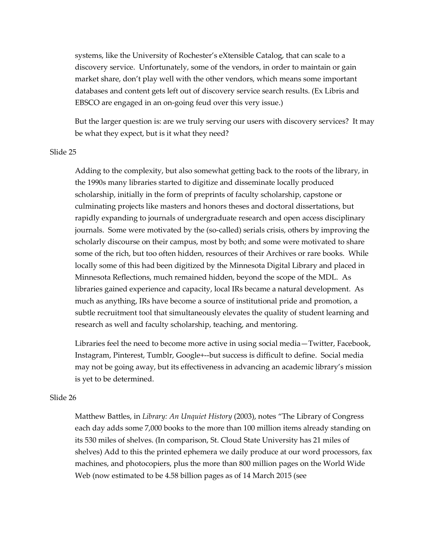systems, like the University of Rochester's eXtensible Catalog, that can scale to a discovery service. Unfortunately, some of the vendors, in order to maintain or gain market share, don't play well with the other vendors, which means some important databases and content gets left out of discovery service search results. (Ex Libris and EBSCO are engaged in an on-going feud over this very issue.)

But the larger question is: are we truly serving our users with discovery services? It may be what they expect, but is it what they need?

#### Slide 25

Adding to the complexity, but also somewhat getting back to the roots of the library, in the 1990s many libraries started to digitize and disseminate locally produced scholarship, initially in the form of preprints of faculty scholarship, capstone or culminating projects like masters and honors theses and doctoral dissertations, but rapidly expanding to journals of undergraduate research and open access disciplinary journals. Some were motivated by the (so-called) serials crisis, others by improving the scholarly discourse on their campus, most by both; and some were motivated to share some of the rich, but too often hidden, resources of their Archives or rare books. While locally some of this had been digitized by the Minnesota Digital Library and placed in Minnesota Reflections, much remained hidden, beyond the scope of the MDL. As libraries gained experience and capacity, local IRs became a natural development. As much as anything, IRs have become a source of institutional pride and promotion, a subtle recruitment tool that simultaneously elevates the quality of student learning and research as well and faculty scholarship, teaching, and mentoring.

Libraries feel the need to become more active in using social media—Twitter, Facebook, Instagram, Pinterest, Tumblr, Google+--but success is difficult to define. Social media may not be going away, but its effectiveness in advancing an academic library's mission is yet to be determined.

#### Slide 26

Matthew Battles, in Library: An Unquiet History (2003), notes "The Library of Congress each day adds some 7,000 books to the more than 100 million items already standing on its 530 miles of shelves. (In comparison, St. Cloud State University has 21 miles of shelves) Add to this the printed ephemera we daily produce at our word processors, fax machines, and photocopiers, plus the more than 800 million pages on the World Wide Web (now estimated to be 4.58 billion pages as of 14 March 2015 (see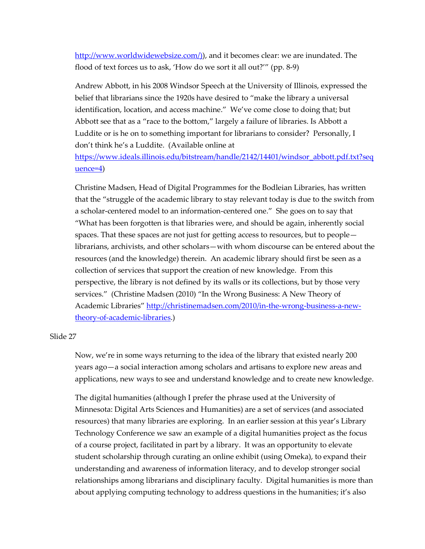http://www.worldwidewebsize.com/), and it becomes clear: we are inundated. The flood of text forces us to ask, 'How do we sort it all out?'" (pp. 8-9)

Andrew Abbott, in his 2008 Windsor Speech at the University of Illinois, expressed the belief that librarians since the 1920s have desired to "make the library a universal identification, location, and access machine." We've come close to doing that; but Abbott see that as a "race to the bottom," largely a failure of libraries. Is Abbott a Luddite or is he on to something important for librarians to consider? Personally, I don't think he's a Luddite. (Available online at

https://www.ideals.illinois.edu/bitstream/handle/2142/14401/windsor\_abbott.pdf.txt?seq uence=4)

Christine Madsen, Head of Digital Programmes for the Bodleian Libraries, has written that the "struggle of the academic library to stay relevant today is due to the switch from a scholar-centered model to an information-centered one." She goes on to say that "What has been forgotten is that libraries were, and should be again, inherently social spaces. That these spaces are not just for getting access to resources, but to people librarians, archivists, and other scholars—with whom discourse can be entered about the resources (and the knowledge) therein. An academic library should first be seen as a collection of services that support the creation of new knowledge. From this perspective, the library is not defined by its walls or its collections, but by those very services." (Christine Madsen (2010) "In the Wrong Business: A New Theory of Academic Libraries" http://christinemadsen.com/2010/in-the-wrong-business-a-newtheory-of-academic-libraries.)

## Slide 27

Now, we're in some ways returning to the idea of the library that existed nearly 200 years ago—a social interaction among scholars and artisans to explore new areas and applications, new ways to see and understand knowledge and to create new knowledge.

The digital humanities (although I prefer the phrase used at the University of Minnesota: Digital Arts Sciences and Humanities) are a set of services (and associated resources) that many libraries are exploring. In an earlier session at this year's Library Technology Conference we saw an example of a digital humanities project as the focus of a course project, facilitated in part by a library. It was an opportunity to elevate student scholarship through curating an online exhibit (using Omeka), to expand their understanding and awareness of information literacy, and to develop stronger social relationships among librarians and disciplinary faculty. Digital humanities is more than about applying computing technology to address questions in the humanities; it's also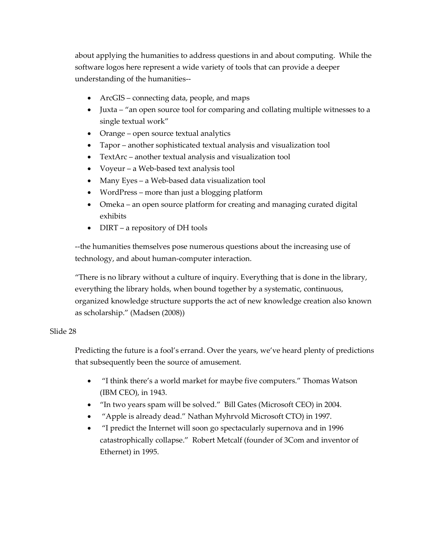about applying the humanities to address questions in and about computing. While the software logos here represent a wide variety of tools that can provide a deeper understanding of the humanities--

- ArcGIS connecting data, people, and maps
- Juxta "an open source tool for comparing and collating multiple witnesses to a single textual work"
- Orange open source textual analytics
- Tapor another sophisticated textual analysis and visualization tool
- TextArc another textual analysis and visualization tool
- Voyeur a Web-based text analysis tool
- Many Eyes a Web-based data visualization tool
- WordPress more than just a blogging platform
- Omeka an open source platform for creating and managing curated digital exhibits
- DIRT a repository of DH tools

--the humanities themselves pose numerous questions about the increasing use of technology, and about human-computer interaction.

"There is no library without a culture of inquiry. Everything that is done in the library, everything the library holds, when bound together by a systematic, continuous, organized knowledge structure supports the act of new knowledge creation also known as scholarship." (Madsen (2008))

## Slide 28

Predicting the future is a fool's errand. Over the years, we've heard plenty of predictions that subsequently been the source of amusement.

- "I think there's a world market for maybe five computers." Thomas Watson (IBM CEO), in 1943.
- "In two years spam will be solved." Bill Gates (Microsoft CEO) in 2004.
- "Apple is already dead." Nathan Myhrvold Microsoft CTO) in 1997.
- "I predict the Internet will soon go spectacularly supernova and in 1996 catastrophically collapse." Robert Metcalf (founder of 3Com and inventor of Ethernet) in 1995.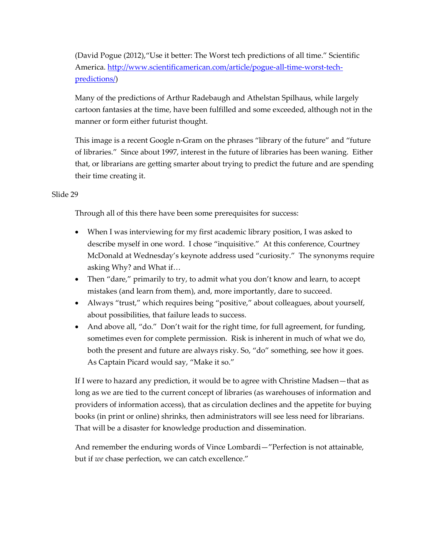(David Pogue (2012),"Use it better: The Worst tech predictions of all time." Scientific America. http://www.scientificamerican.com/article/pogue-all-time-worst-techpredictions/)

Many of the predictions of Arthur Radebaugh and Athelstan Spilhaus, while largely cartoon fantasies at the time, have been fulfilled and some exceeded, although not in the manner or form either futurist thought.

This image is a recent Google n-Gram on the phrases "library of the future" and "future of libraries." Since about 1997, interest in the future of libraries has been waning. Either that, or librarians are getting smarter about trying to predict the future and are spending their time creating it.

## Slide 29

Through all of this there have been some prerequisites for success:

- When I was interviewing for my first academic library position, I was asked to describe myself in one word. I chose "inquisitive." At this conference, Courtney McDonald at Wednesday's keynote address used "curiosity." The synonyms require asking Why? and What if…
- Then "dare," primarily to try, to admit what you don't know and learn, to accept mistakes (and learn from them), and, more importantly, dare to succeed.
- Always "trust," which requires being "positive," about colleagues, about yourself, about possibilities, that failure leads to success.
- And above all, "do." Don't wait for the right time, for full agreement, for funding, sometimes even for complete permission. Risk is inherent in much of what we do, both the present and future are always risky. So, "do" something, see how it goes. As Captain Picard would say, "Make it so."

If I were to hazard any prediction, it would be to agree with Christine Madsen—that as long as we are tied to the current concept of libraries (as warehouses of information and providers of information access), that as circulation declines and the appetite for buying books (in print or online) shrinks, then administrators will see less need for librarians. That will be a disaster for knowledge production and dissemination.

And remember the enduring words of Vince Lombardi—"Perfection is not attainable, but if we chase perfection, we can catch excellence."